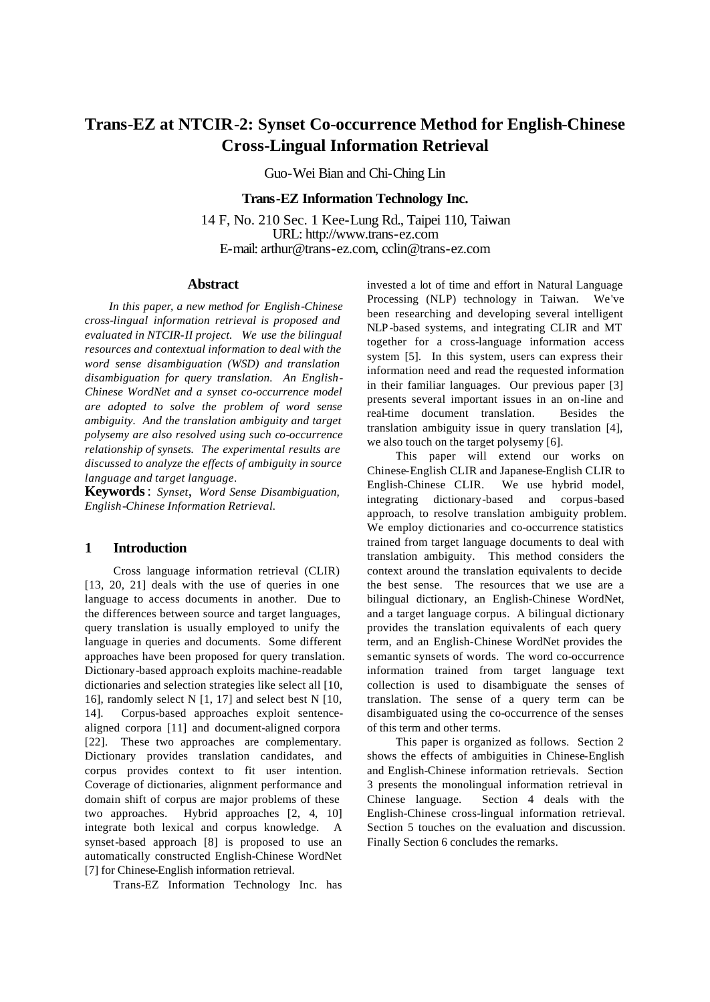# **Trans-EZ at NTCIR-2: Synset Co-occurrence Method for English-Chinese Cross-Lingual Information Retrieval**

Guo-Wei Bian and Chi-Ching Lin

# **Trans-EZ Information Technology Inc.**

14 F, No. 210 Sec. 1 Kee-Lung Rd., Taipei 110, Taiwan URL: http://www.trans-ez.com E-mail: arthur@trans-ez.com, cclin@trans-ez.com

# **Abstract**

*In this paper, a new method for English-Chinese cross-lingual information retrieval is proposed and evaluated in NTCIR-II project. We use the bilingual resources and contextual information to deal with the word sense disambiguation (WSD) and translation disambiguation for query translation. An English-Chinese WordNet and a synset co-occurrence model are adopted to solve the problem of word sense ambiguity. And the translation ambiguity and target polysemy are also resolved using such co-occurrence relationship of synsets. The experimental results are discussed to analyze the effects of ambiguity in source language and target language*.

**Keywords**: *Synset*, *Word Sense Disambiguation, English-Chinese Information Retrieval.*

# **1 Introduction**

Cross language information retrieval (CLIR) [13, 20, 21] deals with the use of queries in one language to access documents in another. Due to the differences between source and target languages, query translation is usually employed to unify the language in queries and documents. Some different approaches have been proposed for query translation. Dictionary-based approach exploits machine-readable dictionaries and selection strategies like select all [10, 16], randomly select N [1, 17] and select best N [10, 14]. Corpus-based approaches exploit sentencealigned corpora [11] and document-aligned corpora [22]. These two approaches are complementary. Dictionary provides translation candidates, and corpus provides context to fit user intention. Coverage of dictionaries, alignment performance and domain shift of corpus are major problems of these two approaches. Hybrid approaches [2, 4, 10] integrate both lexical and corpus knowledge. A synset-based approach [8] is proposed to use an automatically constructed English-Chinese WordNet [7] for Chinese-English information retrieval.

Trans-EZ Information Technology Inc. has

invested a lot of time and effort in Natural Language Processing (NLP) technology in Taiwan. We've been researching and developing several intelligent NLP-based systems, and integrating CLIR and MT together for a cross-language information access system [5]. In this system, users can express their information need and read the requested information in their familiar languages. Our previous paper [3] presents several important issues in an on-line and real-time document translation. Besides the translation ambiguity issue in query translation [4], we also touch on the target polysemy [6].

This paper will extend our works on Chinese-English CLIR and Japanese-English CLIR to English-Chinese CLIR. We use hybrid model, integrating dictionary-based and corpus-based approach, to resolve translation ambiguity problem. We employ dictionaries and co-occurrence statistics trained from target language documents to deal with translation ambiguity. This method considers the context around the translation equivalents to decide the best sense. The resources that we use are a bilingual dictionary, an English-Chinese WordNet, and a target language corpus. A bilingual dictionary provides the translation equivalents of each query term, and an English-Chinese WordNet provides the semantic synsets of words. The word co-occurrence information trained from target language text collection is used to disambiguate the senses of translation. The sense of a query term can be disambiguated using the co-occurrence of the senses of this term and other terms.

This paper is organized as follows. Section 2 shows the effects of ambiguities in Chinese-English and English-Chinese information retrievals. Section 3 presents the monolingual information retrieval in Chinese language. Section 4 deals with the English-Chinese cross-lingual information retrieval. Section 5 touches on the evaluation and discussion. Finally Section 6 concludes the remarks.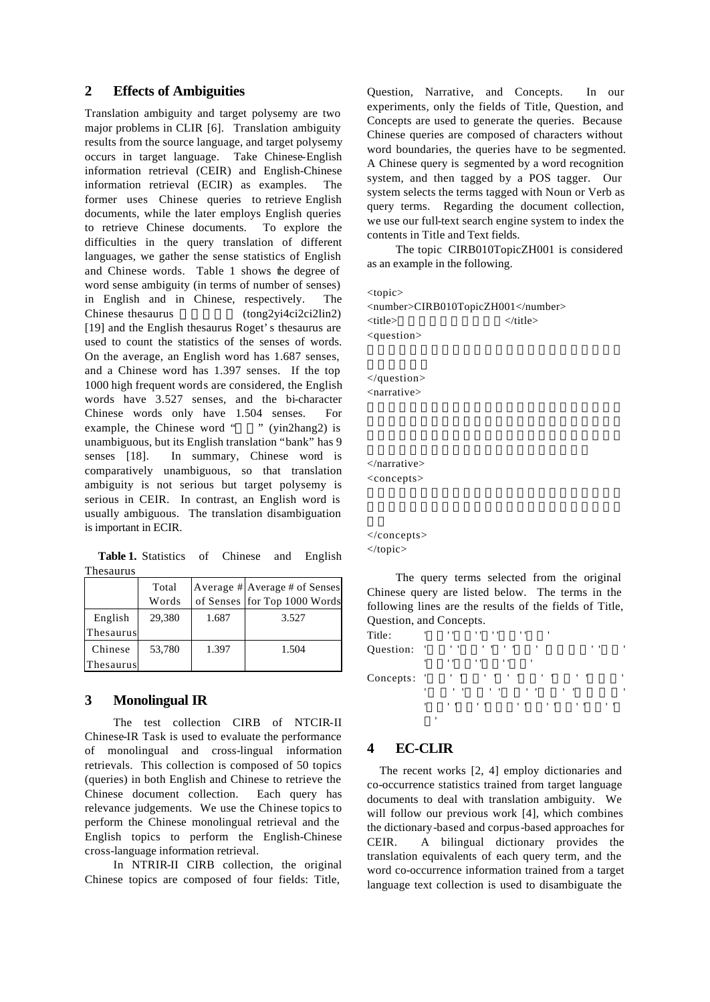# **2 Effects of Ambiguities**

Translation ambiguity and target polysemy are two major problems in CLIR [6]. Translation ambiguity results from the source language, and target polysemy occurs in target language. Take Chinese-English information retrieval (CEIR) and English-Chinese information retrieval (ECIR) as examples. The former uses Chinese queries to retrieve English documents, while the later employs English queries to retrieve Chinese documents. To explore the difficulties in the query translation of different languages, we gather the sense statistics of English and Chinese words. Table 1 shows the degree of word sense ambiguity (in terms of number of senses) in English and in Chinese, respectively. The Chinese thesaurus  $(tong2yi4ci2ci2lin2)$ [19] and the English thesaurus Roget's thesaurus are used to count the statistics of the senses of words. On the average, an English word has 1.687 senses, and a Chinese word has 1.397 senses. If the top 1000 high frequent words are considered, the English words have 3.527 senses, and the bi-character Chinese words only have 1.504 senses. For example, the Chinese word " " (yin2hang2) is unambiguous, but its English translation "bank" has 9 senses [18]. In summary, Chinese word is comparatively unambiguous, so that translation ambiguity is not serious but target polysemy is serious in CEIR. In contrast, an English word is usually ambiguous. The translation disambiguation is important in ECIR.

**Table 1.** Statistics of Chinese and English Thesaurus

|                      | Total<br>Words |       | Average # Average # of Senses<br>of Senses for Top 1000 Words |
|----------------------|----------------|-------|---------------------------------------------------------------|
| English<br>Thesaurus | 29,380         | 1.687 | 3.527                                                         |
| Chinese              | 53,780         | 1.397 | 1.504                                                         |
| Thesaurus            |                |       |                                                               |

# **3 Monolingual IR**

The test collection CIRB of NTCIR-II Chinese-IR Task is used to evaluate the performance of monolingual and cross-lingual information retrievals. This collection is composed of 50 topics (queries) in both English and Chinese to retrieve the Chinese document collection. Each query has relevance judgements. We use the Chinese topics to perform the Chinese monolingual retrieval and the English topics to perform the English-Chinese cross-language information retrieval.

In NTRIR-II CIRB collection, the original Chinese topics are composed of four fields: Title,

Question, Narrative, and Concepts. In our experiments, only the fields of Title, Question, and Concepts are used to generate the queries. Because Chinese queries are composed of characters without word boundaries, the queries have to be segmented. A Chinese query is segmented by a word recognition system, and then tagged by a POS tagger. Our system selects the terms tagged with Noun or Verb as query terms. Regarding the document collection, we use our full-text search engine system to index the contents in Title and Text fields.

The topic CIRB010TopicZH001 is considered as an example in the following.

<topic>

<number>CIRB010TopicZH001</number> <title>集會遊行法與言論自由</title> <question>

</question> <narrative>

</narrative> <concepts>

</concepts> </topic>

The query terms selected from the original Chinese query are listed below. The terms in the following lines are the results of the fields of Title, Question, and Concepts.

| Title:      | ٠   |   | $^{\prime}$  | 11.11<br>$\blacksquare$<br>٠                                                                                  |
|-------------|-----|---|--------------|---------------------------------------------------------------------------------------------------------------|
| Question:   | - 1 |   | $\cdots$     | $1 - 1 - 1 - 1$<br>$\mathbf{r}$<br>$^{\prime}$<br>,                                                           |
|             | ٠   |   | $^{\prime}$  | $^{\prime}$<br>$^{\prime}$<br>٠                                                                               |
| Concepts: ' |     |   | $\mathbf{r}$ | $\mathbf{r}$ , $\mathbf{r}$ , $\mathbf{r}$ , $\mathbf{r}$ , $\mathbf{r}$<br>$\mathbf{1}$<br>$\mathbf{1}$<br>٠ |
|             | ٠   |   | $\cdots$     | $\cdots$<br>$\overline{\phantom{a}}$<br>$\mathbf{1}$<br>٠<br>٠                                                |
|             | ٠   |   | $\mathbf{r}$ | $1 - 1$<br>$1 - 1$<br>$\mathbf{1}$<br>$\mathbf{r}$<br>$\cdots$                                                |
|             |     | ٠ |              |                                                                                                               |

# **4 EC-CLIR**

The recent works [2, 4] employ dictionaries and co-occurrence statistics trained from target language documents to deal with translation ambiguity. We will follow our previous work [4], which combines the dictionary-based and corpus-based approaches for CEIR. A bilingual dictionary provides the translation equivalents of each query term, and the word co-occurrence information trained from a target language text collection is used to disambiguate the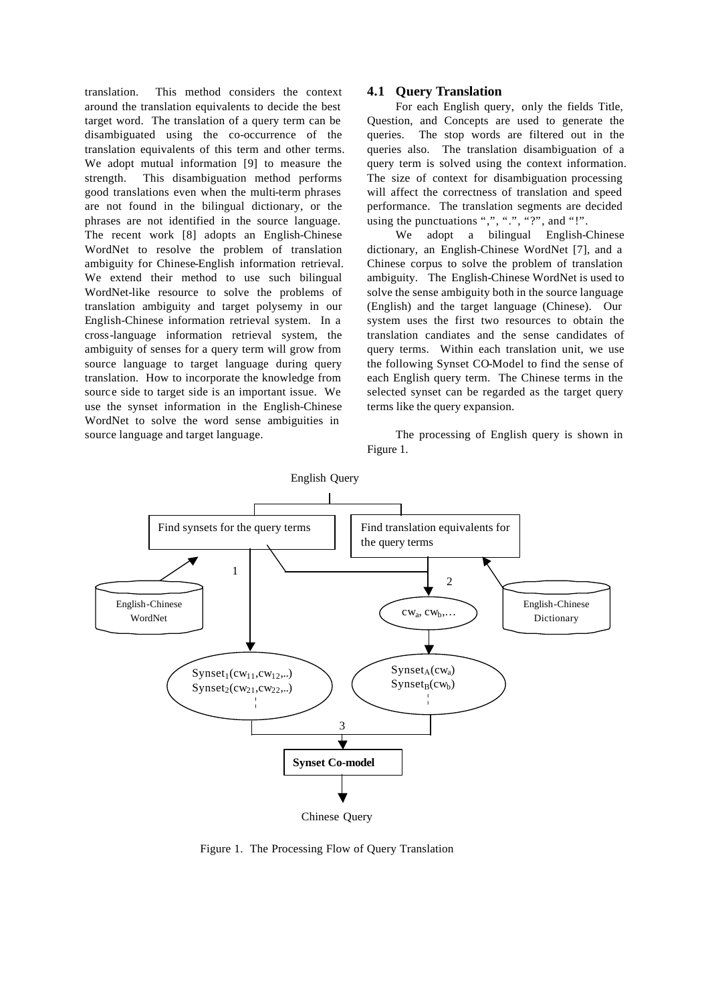translation. This method considers the context around the translation equivalents to decide the best target word. The translation of a query term can be disambiguated using the co-occurrence of the translation equivalents of this term and other terms. We adopt mutual information [9] to measure the strength. This disambiguation method performs good translations even when the multi-term phrases are not found in the bilingual dictionary, or the phrases are not identified in the source language. The recent work [8] adopts an English-Chinese WordNet to resolve the problem of translation ambiguity for Chinese-English information retrieval. We extend their method to use such bilingual WordNet-like resource to solve the problems of translation ambiguity and target polysemy in our English-Chinese information retrieval system. In a cross-language information retrieval system, the ambiguity of senses for a query term will grow from source language to target language during query translation. How to incorporate the knowledge from source side to target side is an important issue. We use the synset information in the English-Chinese WordNet to solve the word sense ambiguities in source language and target language.

# **4.1 Query Translation**

For each English query, only the fields Title, Question, and Concepts are used to generate the queries. The stop words are filtered out in the queries also. The translation disambiguation of a query term is solved using the context information. The size of context for disambiguation processing will affect the correctness of translation and speed performance. The translation segments are decided using the punctuations ",", ".", "?", and "!".

We adopt a bilingual English-Chinese dictionary, an English-Chinese WordNet [7], and a Chinese corpus to solve the problem of translation ambiguity. The English-Chinese WordNet is used to solve the sense ambiguity both in the source language (English) and the target language (Chinese). Our system uses the first two resources to obtain the translation candiates and the sense candidates of query terms. Within each translation unit, we use the following Synset CO-Model to find the sense of each English query term. The Chinese terms in the selected synset can be regarded as the target query terms like the query expansion.

The processing of English query is shown in Figure 1.



Figure 1. The Processing Flow of Query Translation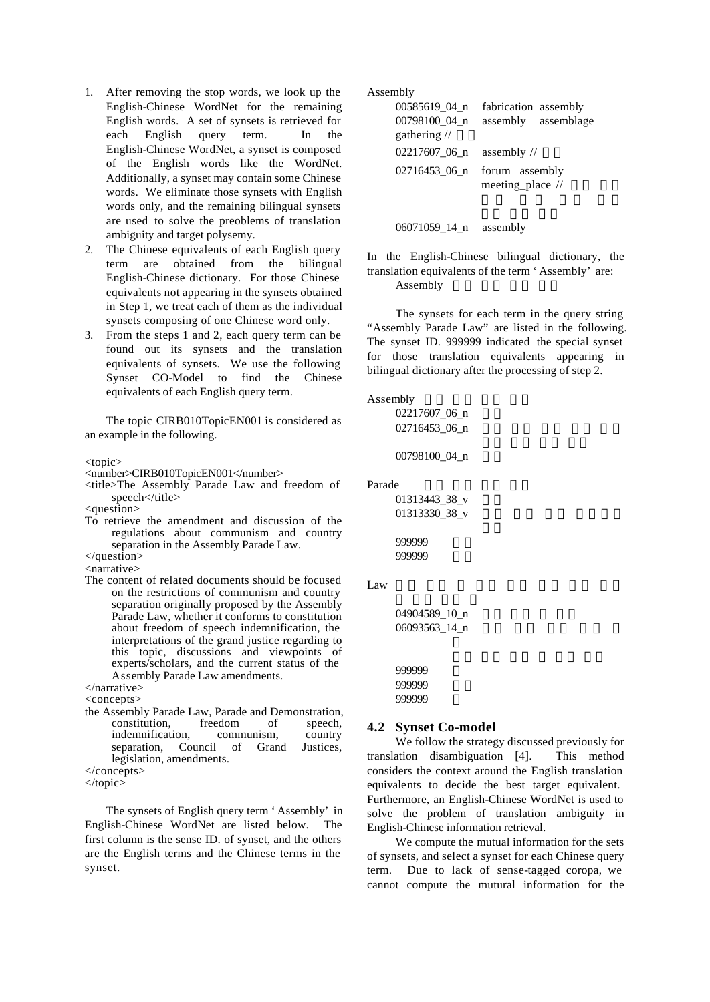- 1. After removing the stop words, we look up the English-Chinese WordNet for the remaining English words. A set of synsets is retrieved for each English query term. In the English-Chinese WordNet, a synset is composed of the English words like the WordNet. Additionally, a synset may contain some Chinese words. We eliminate those synsets with English words only, and the remaining bilingual synsets are used to solve the preoblems of translation ambiguity and target polysemy.
- 2. The Chinese equivalents of each English query term are obtained from the bilingual English-Chinese dictionary. For those Chinese equivalents not appearing in the synsets obtained in Step 1, we treat each of them as the individual synsets composing of one Chinese word only.
- 3. From the steps 1 and 2, each query term can be found out its synsets and the translation equivalents of synsets. We use the following Synset CO-Model to find the Chinese equivalents of each English query term.

The topic CIRB010TopicEN001 is considered as an example in the following.

<topic>

- <number>CIRB010TopicEN001</number>
- <title>The Assembly Parade Law and freedom of speech</title>

<question>

To retrieve the amendment and discussion of the regulations about communism and country separation in the Assembly Parade Law.

</question> <narrative>

- The content of related documents should be focused
- on the restrictions of communism and country separation originally proposed by the Assembly Parade Law, whether it conforms to constitution about freedom of speech indemnification, the interpretations of the grand justice regarding to this topic, discussions and viewpoints of experts/scholars, and the current status of the Assembly Parade Law amendments.

</narrative> <concepts>

the Assembly Parade Law, Parade and Demonstration, constitution, freedom of speech,<br>indemnification, communism, country indemnification, separation, Council of Grand Justices, legislation, amendments.

The synsets of English query term 'Assembly' in English-Chinese WordNet are listed below. The first column is the sense ID. of synset, and the others are the English terms and the Chinese terms in the synset.

Assembly

| 00585619 04 n<br>00798100 04 n<br>gathering // | fabrication assembly<br>assembly assemblage |
|------------------------------------------------|---------------------------------------------|
| 02217607_06_n                                  | assembly $\frac{1}{2}$                      |
| 02716453_06_n                                  | forum assembly<br>meeting_place //          |

06071059\_14\_n assembly

In the English-Chinese bilingual dictionary, the translation equivalents of the term 'Assembly' are: Assembly

The synsets for each term in the query string "Assembly Parade Law" are listed in the following. The synset ID. 999999 indicated the special synset for those translation equivalents appearing in bilingual dictionary after the processing of step 2.

#### Assembly

02217607\_06\_n 02716453\_06\_n 00798100\_04\_n

#### Parade

01313443\_38\_v 01313330\_38\_v

```
999999 遊行
999999
```
Law  $\frac{1}{\sqrt{2\pi}}$ 

```
04904589_10_n
06093563_14_n
```
999999 999999 999999

#### **4.2 Synset Co-model**

We follow the strategy discussed previously for translation disambiguation [4]. This method considers the context around the English translation equivalents to decide the best target equivalent. Furthermore, an English-Chinese WordNet is used to solve the problem of translation ambiguity in English-Chinese information retrieval.

We compute the mutual information for the sets of synsets, and select a synset for each Chinese query term. Due to lack of sense-tagged coropa, we cannot compute the mutural information for the

<sup>&</sup>lt;/concepts>

<sup>&</sup>lt;/topic>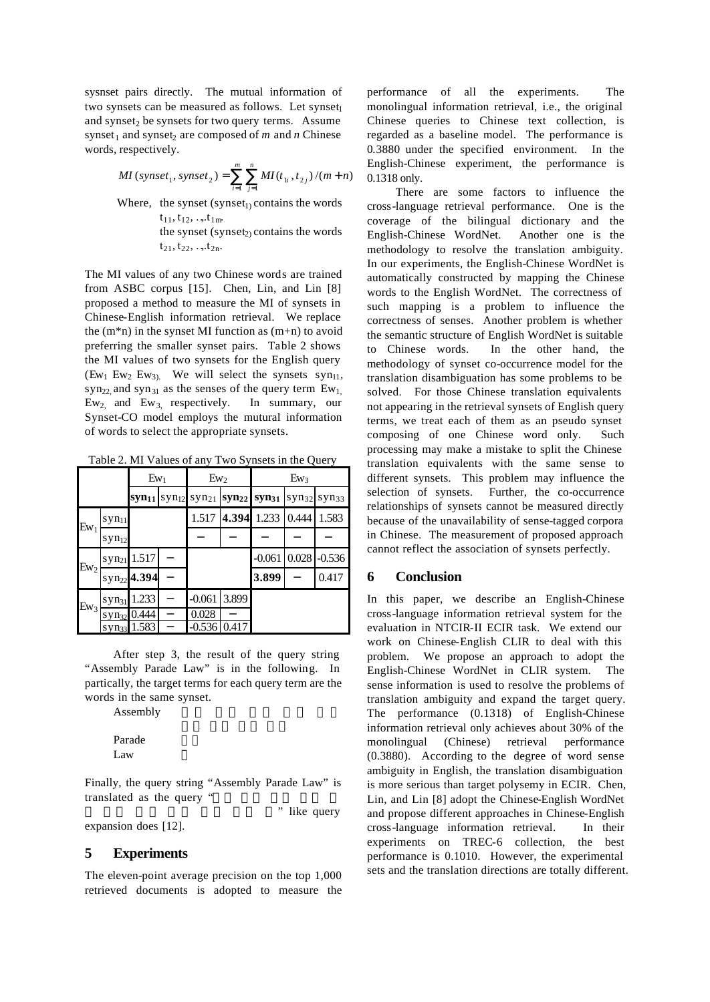sysnset pairs directly. The mutual information of two synsets can be measured as follows. Let synset and synset<sub>2</sub> be synsets for two query terms. Assume synset<sub>1</sub> and synset<sub>2</sub> are composed of  $m$  and  $n$  Chinese words, respectively.

$$
MI\left(synset_{1}, synset_{2}\right) = \sum_{i=1}^{m} \sum_{j=1}^{n} MI(t_{1i}, t_{2j})/(m+n)
$$

Where, the synset (synset<sub>1)</sub> contains the words  $t_{11}, t_{12},$  …,  $t_{1m}$ the synset (synset $_2$ ) contains the words

 $t_{21}$ ,  $t_{22}$ , ...,  $t_{2n}$ .

The MI values of any two Chinese words are trained from ASBC corpus [15]. Chen, Lin, and Lin [8] proposed a method to measure the MI of synsets in Chinese-English information retrieval. We replace the  $(m*n)$  in the synset MI function as  $(m+n)$  to avoid preferring the smaller synset pairs. Table 2 shows the MI values of two synsets for the English query  $(Em_1 Ew_2 Ew_3)$ . We will select the synsets syn<sub>11</sub>, syn<sub>22</sub> and syn<sub>31</sub> as the senses of the query term  $Ew_1$ ,  $Ew_2$  and  $Ew_3$  respectively. In summary, our Synset-CO model employs the mutural information of words to select the appropriate synsets.

Table 2. MI Values of any Two Synsets in the Query

|                     |                     | $Ew_1$                             |                   | $Ew_2$            |                   | $Ew_3$            |                   |                   |  |
|---------------------|---------------------|------------------------------------|-------------------|-------------------|-------------------|-------------------|-------------------|-------------------|--|
|                     |                     | syn <sub>11</sub>                  | syn <sub>12</sub> | syn <sub>21</sub> | syn <sub>22</sub> | syn <sub>31</sub> | syn <sub>32</sub> | syn <sub>33</sub> |  |
| ${\rm E} {\rm w}_1$ | syn <sub>11</sub>   |                                    |                   | 1.517             | 4.394             | 1.233             | 0.444             | 1.583             |  |
|                     | syn <sub>12</sub>   |                                    |                   |                   |                   |                   |                   |                   |  |
| $Ew_2$              | syn <sub>21</sub>   | 1.517                              |                   |                   |                   | $-0.061$          | 0.028             | $-0.536$          |  |
|                     |                     | syn <sub>22</sub> <sup>4.394</sup> |                   |                   |                   | 3.899             |                   | 0.417             |  |
| $Ew_3$              | syn <sub>31</sub>   | 1.233                              |                   | $-0.061$          | 3.899             |                   |                   |                   |  |
|                     | $SVM$ <sub>32</sub> | 0.444                              |                   | 0.028             |                   |                   |                   |                   |  |
|                     | syn <sub>33</sub>   | 1.583                              |                   | $-0.536$          | 0.417             |                   |                   |                   |  |

After step 3, the result of the query string "Assembly Parade Law" is in the following. In partically, the target terms for each query term are the words in the same synset.

Assembly

Parade Law

Finally, the query string "Assembly Parade Law" is translated as the query "

" like query

# **5 Experiments**

expansion does [12].

The eleven-point average precision on the top 1,000 retrieved documents is adopted to measure the performance of all the experiments. The monolingual information retrieval, i.e., the original Chinese queries to Chinese text collection, is regarded as a baseline model. The performance is 0.3880 under the specified environment. In the English-Chinese experiment, the performance is 0.1318 only.

There are some factors to influence the cross-language retrieval performance. One is the coverage of the bilingual dictionary and the English-Chinese WordNet. Another one is the methodology to resolve the translation ambiguity. In our experiments, the English-Chinese WordNet is automatically constructed by mapping the Chinese words to the English WordNet. The correctness of such mapping is a problem to influence the correctness of senses. Another problem is whether the semantic structure of English WordNet is suitable to Chinese words. In the other hand, the methodology of synset co-occurrence model for the translation disambiguation has some problems to be solved. For those Chinese translation equivalents not appearing in the retrieval synsets of English query terms, we treat each of them as an pseudo synset composing of one Chinese word only. Such processing may make a mistake to split the Chinese translation equivalents with the same sense to different synsets. This problem may influence the selection of synsets. Further, the co-occurrence relationships of synsets cannot be measured directly because of the unavailability of sense-tagged corpora in Chinese. The measurement of proposed approach cannot reflect the association of synsets perfectly.

# **6 Conclusion**

In this paper, we describe an English-Chinese cross-language information retrieval system for the evaluation in NTCIR-II ECIR task. We extend our work on Chinese-English CLIR to deal with this problem. We propose an approach to adopt the English-Chinese WordNet in CLIR system. The sense information is used to resolve the problems of translation ambiguity and expand the target query. The performance (0.1318) of English-Chinese information retrieval only achieves about 30% of the monolingual (Chinese) retrieval performance (0.3880). According to the degree of word sense ambiguity in English, the translation disambiguation is more serious than target polysemy in ECIR. Chen, Lin, and Lin [8] adopt the Chinese-English WordNet and propose different approaches in Chinese-English cross-language information retrieval. In their experiments on TREC-6 collection, the best performance is 0.1010. However, the experimental sets and the translation directions are totally different.